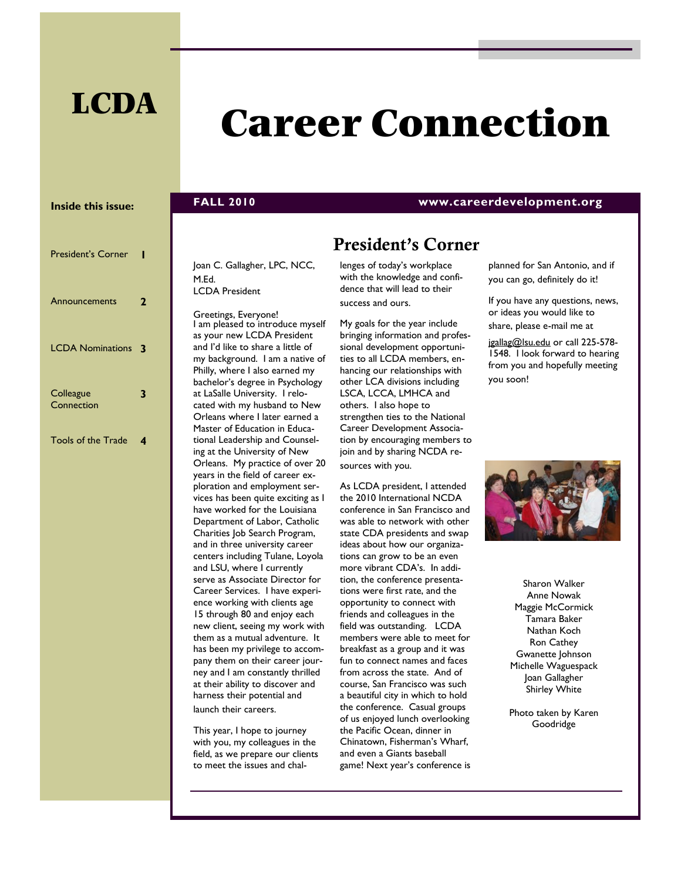## **LCDA**

# **Career Connection**

#### **Inside this issue:**

| <b>President's Corner</b> |   |
|---------------------------|---|
| Announcements             | 2 |
| <b>LCDA Nominations</b>   | 3 |
| Colleague<br>Connection   | 3 |
| <b>Tools of the Trade</b> | 4 |

#### Joan C. Gallagher, LPC, NCC, M.Ed. LCDA President

Greetings, Everyone! I am pleased to introduce myself as your new LCDA President and I'd like to share a little of my background. I am a native of Philly, where I also earned my bachelor's degree in Psychology at LaSalle University. I relocated with my husband to New Orleans where I later earned a Master of Education in Educational Leadership and Counseling at the University of New Orleans. My practice of over 20 years in the field of career exploration and employment services has been quite exciting as I have worked for the Louisiana Department of Labor, Catholic Charities Job Search Program, and in three university career centers including Tulane, Loyola and LSU, where I currently serve as Associate Director for Career Services. I have experience working with clients age 15 through 80 and enjoy each new client, seeing my work with them as a mutual adventure. It has been my privilege to accompany them on their career journey and I am constantly thrilled at their ability to discover and harness their potential and launch their careers.

This year, I hope to journey with you, my colleagues in the field, as we prepare our clients to meet the issues and chal-

### **President's Corner**

**FALL 2010 www.careerdevelopment.org**

lenges of today's workplace with the knowledge and confidence that will lead to their success and ours.

My goals for the year include bringing information and professional development opportunities to all LCDA members, enhancing our relationships with other LCA divisions including LSCA, LCCA, LMHCA and others. I also hope to strengthen ties to the National Career Development Association by encouraging members to join and by sharing NCDA resources with you.

As LCDA president, I attended the 2010 International NCDA conference in San Francisco and was able to network with other state CDA presidents and swap ideas about how our organizations can grow to be an even more vibrant CDA's. In addition, the conference presentations were first rate, and the opportunity to connect with friends and colleagues in the field was outstanding. LCDA members were able to meet for breakfast as a group and it was fun to connect names and faces from across the state. And of course, San Francisco was such a beautiful city in which to hold the conference. Casual groups of us enjoyed lunch overlooking the Pacific Ocean, dinner in Chinatown, Fisherman's Wharf, and even a Giants baseball game! Next year's conference is planned for San Antonio, and if you can go, definitely do it!

If you have any questions, news, or ideas you would like to share, please e-mail me at

[jgallag@lsu.edu](mailto:jgallag@lsu.edu) or call 225-578-1548. I look forward to hearing from you and hopefully meeting you soon!



Sharon Walker Anne Nowak Maggie McCormick Tamara Baker Nathan Koch Ron Cathey Gwanette Johnson Michelle Waguespack Joan Gallagher Shirley White

Photo taken by Karen Goodridge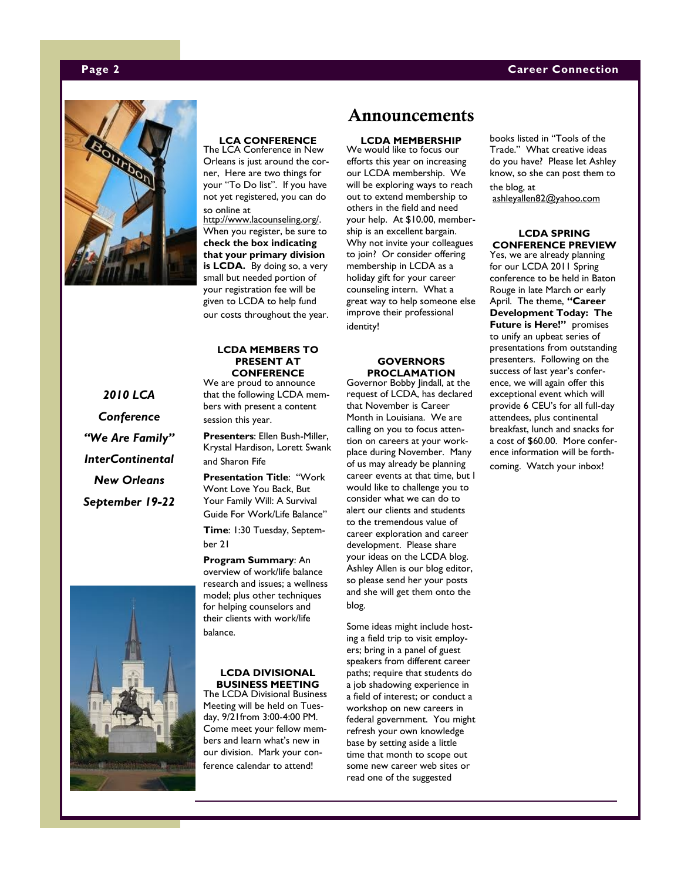#### <span id="page-1-0"></span>**Page 2 Career Connection**



#### **LCA CONFERENCE**  The LCA Conference in New

Orleans is just around the corner, Here are two things for your "To Do list". If you have not yet registered, you can do so online at

[http://www.lacounseling.org/.](#page-1-0)  When you register, be sure to **check the box indicating that your primary division is LCDA.** By doing so, a very small but needed portion of your registration fee will be given to LCDA to help fund our costs throughout the year.

#### **LCDA MEMBERS TO PRESENT AT CONFERENCE**

We are proud to announce that the following LCDA members with present a content session this year.

**Presenters**: Ellen Bush-Miller, Krystal Hardison, Lorett Swank and Sharon Fife

**Presentation Title: "Work** Wont Love You Back, But Your Family Will: A Survival Guide For Work/Life Balance"

**Time**: 1:30 Tuesday, September 21

**Program Summary**: An overview of work/life balance research and issues; a wellness model; plus other techniques for helping counselors and their clients with work/life balance.

#### **LCDA DIVISIONAL BUSINESS MEETING**

The LCDA Divisional Business Meeting will be held on Tuesday, 9/21from 3:00-4:00 PM. Come meet your fellow members and learn what's new in our division. Mark your conference calendar to attend!

### **Announcements**

**LCDA MEMBERSHIP**

We would like to focus our efforts this year on increasing our LCDA membership. We will be exploring ways to reach out to extend membership to others in the field and need your help. At \$10.00, membership is an excellent bargain. Why not invite your colleagues to join? Or consider offering membership in LCDA as a holiday gift for your career counseling intern. What a great way to help someone else improve their professional identity!

#### **GOVERNORS PROCLAMATION**

Governor Bobby Jindall, at the request of LCDA, has declared that November is Career Month in Louisiana. We are calling on you to focus attention on careers at your workplace during November. Many of us may already be planning career events at that time, but I would like to challenge you to consider what we can do to alert our clients and students to the tremendous value of career exploration and career development. Please share your ideas on the LCDA blog. Ashley Allen is our blog editor, so please send her your posts and she will get them onto the blog.

Some ideas might include hosting a field trip to visit employers; bring in a panel of guest speakers from different career paths; require that students do a job shadowing experience in a field of interest; or conduct a workshop on new careers in federal government. You might refresh your own knowledge base by setting aside a little time that month to scope out some new career web sites or read one of the suggested

books listed in "Tools of the Trade.‖ What creative ideas do you have? Please let Ashley know, so she can post them to the blog, at [ashleyallen82@yahoo.com](mailto:ashleyallen82@yahoo.com)

#### **LCDA SPRING CONFERENCE PREVIEW**

Yes, we are already planning for our LCDA 2011 Spring conference to be held in Baton Rouge in late March or early April. The theme, **"Career Development Today: The Future is Here!"** promises to unify an upbeat series of presentations from outstanding presenters. Following on the success of last year's conference, we will again offer this exceptional event which will provide 6 CEU's for all full-day attendees, plus continental breakfast, lunch and snacks for a cost of \$60.00. More conference information will be forthcoming. Watch your inbox!

*2010 LCA Conference "We Are Family" InterContinental New Orleans September 19-22*

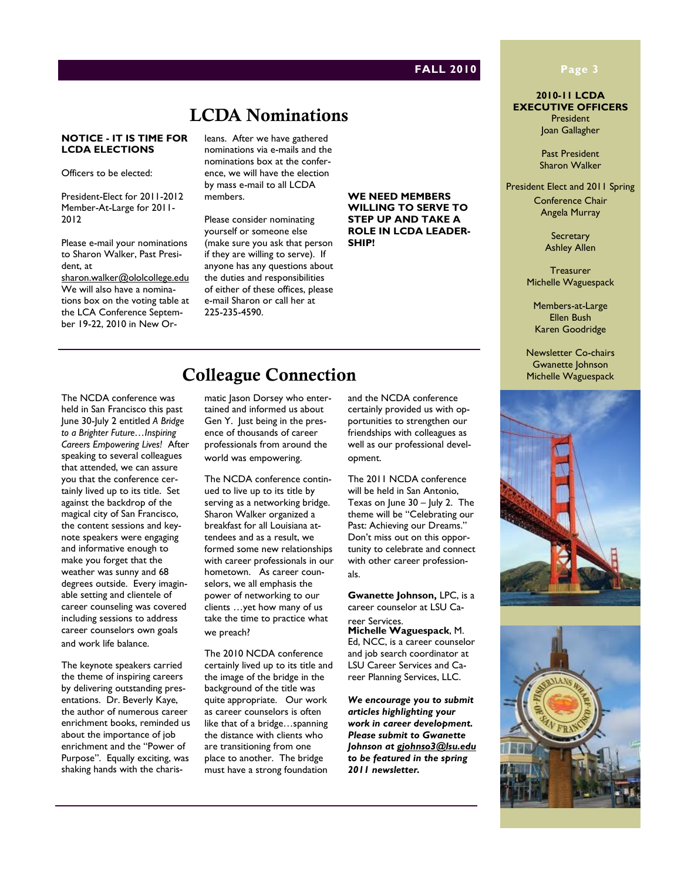## **LCDA Nominations**

#### **NOTICE - IT IS TIME FOR LCDA ELECTIONS**

Officers to be elected:

President-Elect for 2011-2012 Member-At-Large for 2011- 2012

Please e-mail your nominations to Sharon Walker, Past President, at

[sharon.walker@ololcollege.edu](#page-1-0) We will also have a nominations box on the voting table at the LCA Conference September 19-22, 2010 in New Orleans. After we have gathered nominations via e-mails and the nominations box at the conference, we will have the election by mass e-mail to all LCDA members.

Please consider nominating yourself or someone else (make sure you ask that person if they are willing to serve). If anyone has any questions about the duties and responsibilities of either of these offices, please e-mail Sharon or call her at 225-235-4590.

#### **WE NEED MEMBERS WILLING TO SERVE TO STEP UP AND TAKE A ROLE IN LCDA LEADER-SHIP!**

### **FALL 2010 Page 3**

**2010-11 LCDA EXECUTIVE OFFICERS** President Joan Gallagher

> Past President Sharon Walker

President Elect and 2011 Spring Conference Chair Angela Murray

> **Secretary** Ashley Allen

**Treasurer** Michelle Waguespack

Members-at-Large Ellen Bush Karen Goodridge

Newsletter Co-chairs Gwanette Johnson Michelle Waguespack



## **Colleague Connection**

The NCDA conference was held in San Francisco this past June 30-July 2 entitled *A Bridge to a Brighter Future…Inspiring Careers Empowering Lives!* After speaking to several colleagues that attended, we can assure you that the conference certainly lived up to its title. Set against the backdrop of the magical city of San Francisco, the content sessions and keynote speakers were engaging and informative enough to make you forget that the weather was sunny and 68 degrees outside. Every imaginable setting and clientele of career counseling was covered including sessions to address career counselors own goals and work life balance.

The keynote speakers carried the theme of inspiring careers by delivering outstanding presentations. Dr. Beverly Kaye, the author of numerous career enrichment books, reminded us about the importance of job enrichment and the "Power of Purpose". Equally exciting, was shaking hands with the charismatic Jason Dorsey who entertained and informed us about Gen Y. Just being in the presence of thousands of career professionals from around the world was empowering.

The NCDA conference continued to live up to its title by serving as a networking bridge. Sharon Walker organized a breakfast for all Louisiana attendees and as a result, we formed some new relationships with career professionals in our hometown. As career counselors, we all emphasis the power of networking to our clients …yet how many of us take the time to practice what we preach?

The 2010 NCDA conference certainly lived up to its title and the image of the bridge in the background of the title was quite appropriate. Our work as career counselors is often like that of a bridge…spanning the distance with clients who are transitioning from one place to another. The bridge must have a strong foundation

and the NCDA conference certainly provided us with opportunities to strengthen our friendships with colleagues as well as our professional development.

The 2011 NCDA conference will be held in San Antonio, Texas on June 30 - July 2. The theme will be "Celebrating our Past: Achieving our Dreams." Don't miss out on this opportunity to celebrate and connect with other career professionals.

**Gwanette Johnson,** LPC, is a career counselor at LSU Career Services.

**Michelle Waguespack**, M. Ed, NCC, is a career counselor and job search coordinator at LSU Career Services and Career Planning Services, LLC.

*We encourage you to submit articles highlighting your work in career development. Please submit to Gwanette Johnson at [gjohnso3@lsu.edu](#page-1-0) to be featured in the spring 2011 newsletter.*